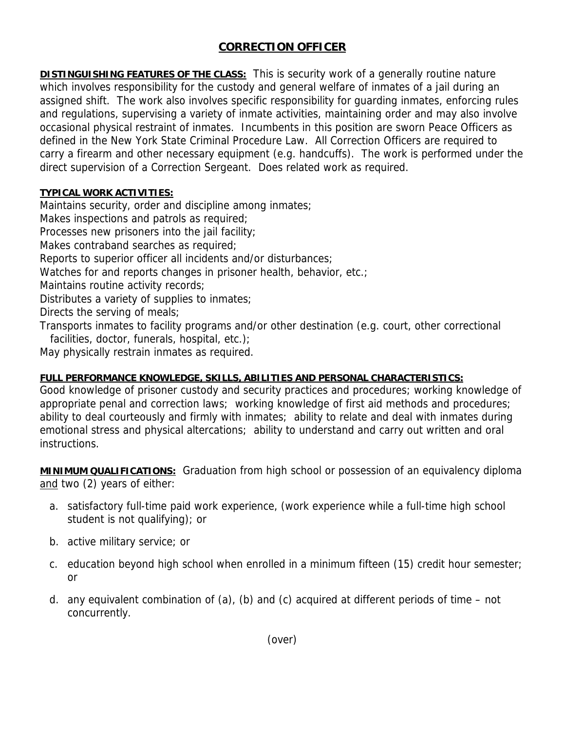## **CORRECTION OFFICER**

**DISTINGUISHING FEATURES OF THE CLASS:** This is security work of a generally routine nature which involves responsibility for the custody and general welfare of inmates of a jail during an assigned shift. The work also involves specific responsibility for guarding inmates, enforcing rules and regulations, supervising a variety of inmate activities, maintaining order and may also involve occasional physical restraint of inmates. Incumbents in this position are sworn Peace Officers as defined in the New York State Criminal Procedure Law. All Correction Officers are required to carry a firearm and other necessary equipment (e.g. handcuffs). The work is performed under the direct supervision of a Correction Sergeant. Does related work as required.

## **TYPICAL WORK ACTIVITIES:**

Maintains security, order and discipline among inmates;

Makes inspections and patrols as required;

Processes new prisoners into the jail facility;

Makes contraband searches as required;

Reports to superior officer all incidents and/or disturbances;

Watches for and reports changes in prisoner health, behavior, etc.;

Maintains routine activity records;

Distributes a variety of supplies to inmates;

Directs the serving of meals;

Transports inmates to facility programs and/or other destination (e.g. court, other correctional facilities, doctor, funerals, hospital, etc.);

May physically restrain inmates as required.

## **FULL PERFORMANCE KNOWLEDGE, SKILLS, ABILITIES AND PERSONAL CHARACTERISTICS:**

Good knowledge of prisoner custody and security practices and procedures; working knowledge of appropriate penal and correction laws; working knowledge of first aid methods and procedures; ability to deal courteously and firmly with inmates; ability to relate and deal with inmates during emotional stress and physical altercations; ability to understand and carry out written and oral instructions.

**MINIMUM QUALIFICATIONS:** Graduation from high school or possession of an equivalency diploma and two (2) years of either:

- a. satisfactory full-time paid work experience, (work experience while a full-time high school student is not qualifying); or
- b. active military service; or
- c. education beyond high school when enrolled in a minimum fifteen (15) credit hour semester; or
- d. any equivalent combination of (a), (b) and (c) acquired at different periods of time not concurrently.